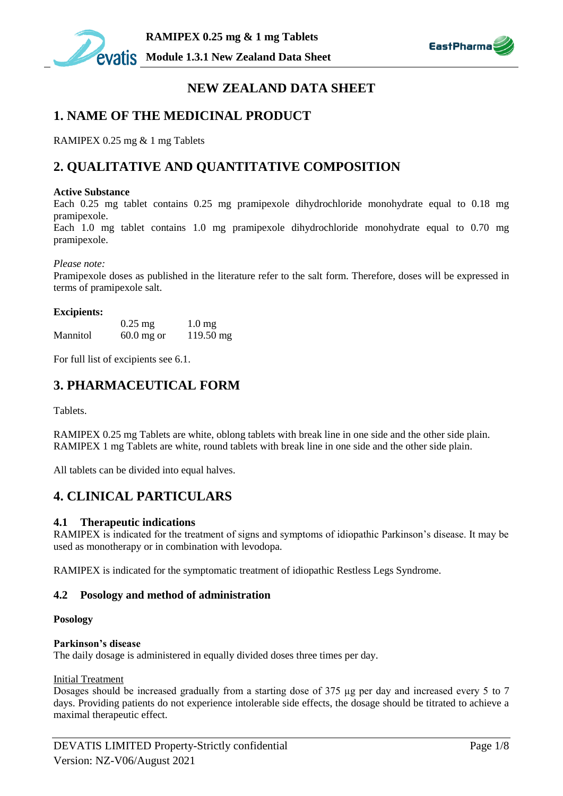



# **NEW ZEALAND DATA SHEET**

# **1. NAME OF THE MEDICINAL PRODUCT**

RAMIPEX 0.25 mg & 1 mg Tablets

# **2. QUALITATIVE AND QUANTITATIVE COMPOSITION**

#### **Active Substance**

Each 0.25 mg tablet contains 0.25 mg pramipexole dihydrochloride monohydrate equal to 0.18 mg pramipexole.

Each 1.0 mg tablet contains 1.0 mg pramipexole dihydrochloride monohydrate equal to 0.70 mg pramipexole.

#### *Please note:*

Pramipexole doses as published in the literature refer to the salt form. Therefore, doses will be expressed in terms of pramipexole salt.

#### **Excipients:**

|          | $0.25$ mg    | $1.0 \text{ mg}$    |
|----------|--------------|---------------------|
| Mannitol | $60.0$ mg or | $119.50 \text{ mg}$ |

For full list of excipients see 6.1.

# **3. PHARMACEUTICAL FORM**

**Tablets** 

RAMIPEX 0.25 mg Tablets are white, oblong tablets with break line in one side and the other side plain. RAMIPEX 1 mg Tablets are white, round tablets with break line in one side and the other side plain.

All tablets can be divided into equal halves.

## **4. CLINICAL PARTICULARS**

## **4.1 Therapeutic indications**

RAMIPEX is indicated for the treatment of signs and symptoms of idiopathic Parkinson's disease. It may be used as monotherapy or in combination with levodopa.

RAMIPEX is indicated for the symptomatic treatment of idiopathic Restless Legs Syndrome.

## **4.2 Posology and method of administration**

## **Posology**

#### **Parkinson's disease**

The daily dosage is administered in equally divided doses three times per day.

#### Initial Treatment

Dosages should be increased gradually from a starting dose of 375 µg per day and increased every 5 to 7 days. Providing patients do not experience intolerable side effects, the dosage should be titrated to achieve a maximal therapeutic effect.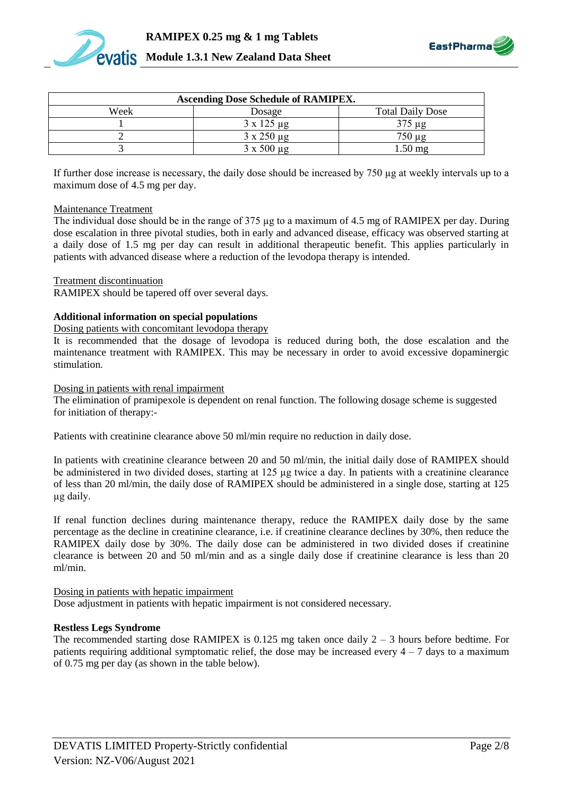



| <b>Ascending Dose Schedule of RAMIPEX.</b> |                      |                         |  |
|--------------------------------------------|----------------------|-------------------------|--|
| Week                                       | Dosage               | <b>Total Daily Dose</b> |  |
|                                            | $3 \times 125 \mu g$ | 375 µg                  |  |
|                                            | $3 \times 250 \mu g$ | $750 \mu g$             |  |
|                                            | $3 \times 500 \mu g$ | $1.50 \text{ mg}$       |  |

If further dose increase is necessary, the daily dose should be increased by 750 µg at weekly intervals up to a maximum dose of 4.5 mg per day.

#### Maintenance Treatment

The individual dose should be in the range of 375 µg to a maximum of 4.5 mg of RAMIPEX per day. During dose escalation in three pivotal studies, both in early and advanced disease, efficacy was observed starting at a daily dose of 1.5 mg per day can result in additional therapeutic benefit. This applies particularly in patients with advanced disease where a reduction of the levodopa therapy is intended.

#### Treatment discontinuation

RAMIPEX should be tapered off over several days.

#### **Additional information on special populations**

#### Dosing patients with concomitant levodopa therapy

It is recommended that the dosage of levodopa is reduced during both, the dose escalation and the maintenance treatment with RAMIPEX. This may be necessary in order to avoid excessive dopaminergic stimulation.

#### Dosing in patients with renal impairment

The elimination of pramipexole is dependent on renal function. The following dosage scheme is suggested for initiation of therapy:-

Patients with creatinine clearance above 50 ml/min require no reduction in daily dose.

In patients with creatinine clearance between 20 and 50 ml/min, the initial daily dose of RAMIPEX should be administered in two divided doses, starting at 125 µg twice a day. In patients with a creatinine clearance of less than 20 ml/min, the daily dose of RAMIPEX should be administered in a single dose, starting at 125 µg daily.

If renal function declines during maintenance therapy, reduce the RAMIPEX daily dose by the same percentage as the decline in creatinine clearance, i.e. if creatinine clearance declines by 30%, then reduce the RAMIPEX daily dose by 30%. The daily dose can be administered in two divided doses if creatinine clearance is between 20 and 50 ml/min and as a single daily dose if creatinine clearance is less than 20 ml/min.

Dosing in patients with hepatic impairment

Dose adjustment in patients with hepatic impairment is not considered necessary.

#### **Restless Legs Syndrome**

The recommended starting dose RAMIPEX is  $0.125$  mg taken once daily  $2 - 3$  hours before bedtime. For patients requiring additional symptomatic relief, the dose may be increased every  $4 - 7$  days to a maximum of 0.75 mg per day (as shown in the table below).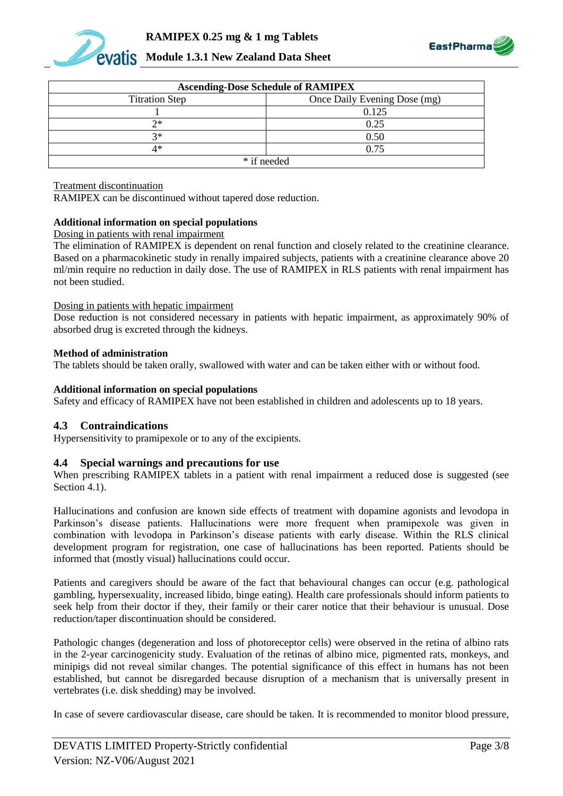



| <b>Ascending-Dose Schedule of RAMIPEX</b> |                              |  |
|-------------------------------------------|------------------------------|--|
| <b>Titration Step</b>                     | Once Daily Evening Dose (mg) |  |
|                                           | 0.125                        |  |
| つ*                                        | 0.25                         |  |
| $2*$                                      | 0.50                         |  |
| 4*                                        | 0.75                         |  |
| * if needed                               |                              |  |

#### Treatment discontinuation

RAMIPEX can be discontinued without tapered dose reduction.

### **Additional information on special populations**

Dosing in patients with renal impairment

The elimination of RAMIPEX is dependent on renal function and closely related to the creatinine clearance. Based on a pharmacokinetic study in renally impaired subjects, patients with a creatinine clearance above 20 ml/min require no reduction in daily dose. The use of RAMIPEX in RLS patients with renal impairment has not been studied.

#### Dosing in patients with hepatic impairment

Dose reduction is not considered necessary in patients with hepatic impairment, as approximately 90% of absorbed drug is excreted through the kidneys.

### **Method of administration**

The tablets should be taken orally, swallowed with water and can be taken either with or without food.

### **Additional information on special populations**

Safety and efficacy of RAMIPEX have not been established in children and adolescents up to 18 years.

## **4.3 Contraindications**

Hypersensitivity to pramipexole or to any of the excipients.

## **4.4 Special warnings and precautions for use**

When prescribing RAMIPEX tablets in a patient with renal impairment a reduced dose is suggested (see Section 4.1).

Hallucinations and confusion are known side effects of treatment with dopamine agonists and levodopa in Parkinson's disease patients. Hallucinations were more frequent when pramipexole was given in combination with levodopa in Parkinson's disease patients with early disease. Within the RLS clinical development program for registration, one case of hallucinations has been reported. Patients should be informed that (mostly visual) hallucinations could occur.

Patients and caregivers should be aware of the fact that behavioural changes can occur (e.g. pathological gambling, hypersexuality, increased libido, binge eating). Health care professionals should inform patients to seek help from their doctor if they, their family or their carer notice that their behaviour is unusual. Dose reduction/taper discontinuation should be considered.

Pathologic changes (degeneration and loss of photoreceptor cells) were observed in the retina of albino rats in the 2-year carcinogenicity study. Evaluation of the retinas of albino mice, pigmented rats, monkeys, and minipigs did not reveal similar changes. The potential significance of this effect in humans has not been established, but cannot be disregarded because disruption of a mechanism that is universally present in vertebrates (i.e. disk shedding) may be involved.

In case of severe cardiovascular disease, care should be taken. It is recommended to monitor blood pressure,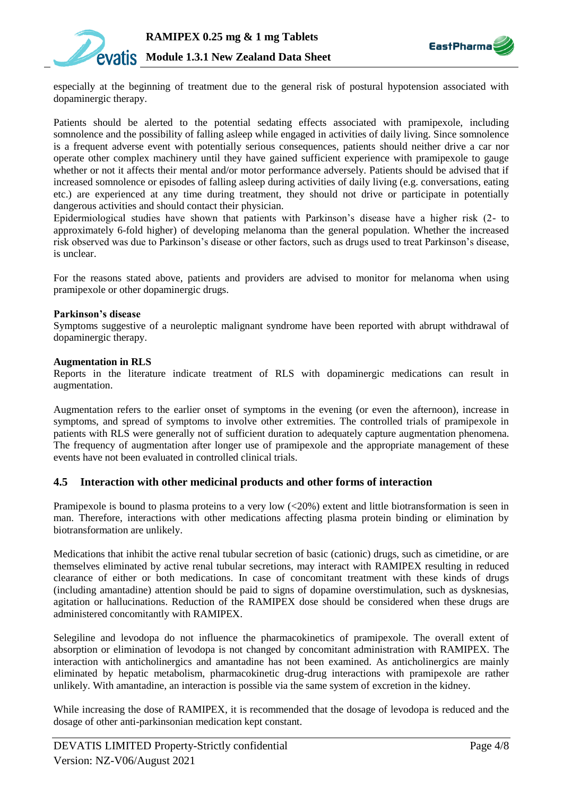



especially at the beginning of treatment due to the general risk of postural hypotension associated with dopaminergic therapy.

Patients should be alerted to the potential sedating effects associated with pramipexole, including somnolence and the possibility of falling asleep while engaged in activities of daily living. Since somnolence is a frequent adverse event with potentially serious consequences, patients should neither drive a car nor operate other complex machinery until they have gained sufficient experience with pramipexole to gauge whether or not it affects their mental and/or motor performance adversely. Patients should be advised that if increased somnolence or episodes of falling asleep during activities of daily living (e.g. conversations, eating etc.) are experienced at any time during treatment, they should not drive or participate in potentially dangerous activities and should contact their physician.

Epidermiological studies have shown that patients with Parkinson's disease have a higher risk (2- to approximately 6-fold higher) of developing melanoma than the general population. Whether the increased risk observed was due to Parkinson's disease or other factors, such as drugs used to treat Parkinson's disease, is unclear.

For the reasons stated above, patients and providers are advised to monitor for melanoma when using pramipexole or other dopaminergic drugs.

#### **Parkinson's disease**

Symptoms suggestive of a neuroleptic malignant syndrome have been reported with abrupt withdrawal of dopaminergic therapy.

#### **Augmentation in RLS**

Reports in the literature indicate treatment of RLS with dopaminergic medications can result in augmentation.

Augmentation refers to the earlier onset of symptoms in the evening (or even the afternoon), increase in symptoms, and spread of symptoms to involve other extremities. The controlled trials of pramipexole in patients with RLS were generally not of sufficient duration to adequately capture augmentation phenomena. The frequency of augmentation after longer use of pramipexole and the appropriate management of these events have not been evaluated in controlled clinical trials.

## **4.5 Interaction with other medicinal products and other forms of interaction**

Pramipexole is bound to plasma proteins to a very low (<20%) extent and little biotransformation is seen in man. Therefore, interactions with other medications affecting plasma protein binding or elimination by biotransformation are unlikely.

Medications that inhibit the active renal tubular secretion of basic (cationic) drugs, such as cimetidine, or are themselves eliminated by active renal tubular secretions, may interact with RAMIPEX resulting in reduced clearance of either or both medications. In case of concomitant treatment with these kinds of drugs (including amantadine) attention should be paid to signs of dopamine overstimulation, such as dysknesias, agitation or hallucinations. Reduction of the RAMIPEX dose should be considered when these drugs are administered concomitantly with RAMIPEX.

Selegiline and levodopa do not influence the pharmacokinetics of pramipexole. The overall extent of absorption or elimination of levodopa is not changed by concomitant administration with RAMIPEX. The interaction with anticholinergics and amantadine has not been examined. As anticholinergics are mainly eliminated by hepatic metabolism, pharmacokinetic drug-drug interactions with pramipexole are rather unlikely. With amantadine, an interaction is possible via the same system of excretion in the kidney.

While increasing the dose of RAMIPEX, it is recommended that the dosage of levodopa is reduced and the dosage of other anti-parkinsonian medication kept constant.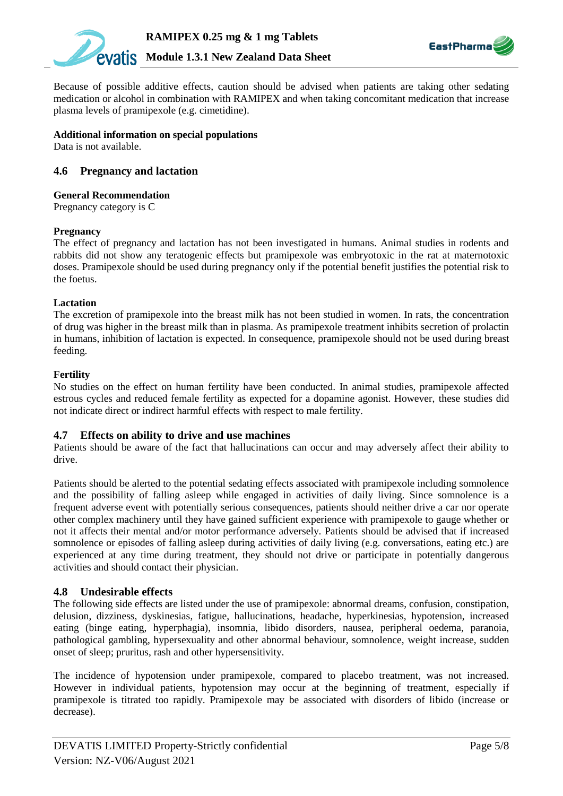



Because of possible additive effects, caution should be advised when patients are taking other sedating medication or alcohol in combination with RAMIPEX and when taking concomitant medication that increase plasma levels of pramipexole (e.g. cimetidine).

#### **Additional information on special populations**

Data is not available.

## **4.6 Pregnancy and lactation**

### **General Recommendation**

Pregnancy category is C

#### **Pregnancy**

The effect of pregnancy and lactation has not been investigated in humans. Animal studies in rodents and rabbits did not show any teratogenic effects but pramipexole was embryotoxic in the rat at maternotoxic doses. Pramipexole should be used during pregnancy only if the potential benefit justifies the potential risk to the foetus.

#### **Lactation**

The excretion of pramipexole into the breast milk has not been studied in women. In rats, the concentration of drug was higher in the breast milk than in plasma. As pramipexole treatment inhibits secretion of prolactin in humans, inhibition of lactation is expected. In consequence, pramipexole should not be used during breast feeding.

#### **Fertility**

No studies on the effect on human fertility have been conducted. In animal studies, pramipexole affected estrous cycles and reduced female fertility as expected for a dopamine agonist. However, these studies did not indicate direct or indirect harmful effects with respect to male fertility.

#### **4.7 Effects on ability to drive and use machines**

Patients should be aware of the fact that hallucinations can occur and may adversely affect their ability to drive.

Patients should be alerted to the potential sedating effects associated with pramipexole including somnolence and the possibility of falling asleep while engaged in activities of daily living. Since somnolence is a frequent adverse event with potentially serious consequences, patients should neither drive a car nor operate other complex machinery until they have gained sufficient experience with pramipexole to gauge whether or not it affects their mental and/or motor performance adversely. Patients should be advised that if increased somnolence or episodes of falling asleep during activities of daily living (e.g. conversations, eating etc.) are experienced at any time during treatment, they should not drive or participate in potentially dangerous activities and should contact their physician.

## **4.8 Undesirable effects**

The following side effects are listed under the use of pramipexole: abnormal dreams, confusion, constipation, delusion, dizziness, dyskinesias, fatigue, hallucinations, headache, hyperkinesias, hypotension, increased eating (binge eating, hyperphagia), insomnia, libido disorders, nausea, peripheral oedema, paranoia, pathological gambling, hypersexuality and other abnormal behaviour, somnolence, weight increase, sudden onset of sleep; pruritus, rash and other hypersensitivity.

The incidence of hypotension under pramipexole, compared to placebo treatment, was not increased. However in individual patients, hypotension may occur at the beginning of treatment, especially if pramipexole is titrated too rapidly. Pramipexole may be associated with disorders of libido (increase or decrease).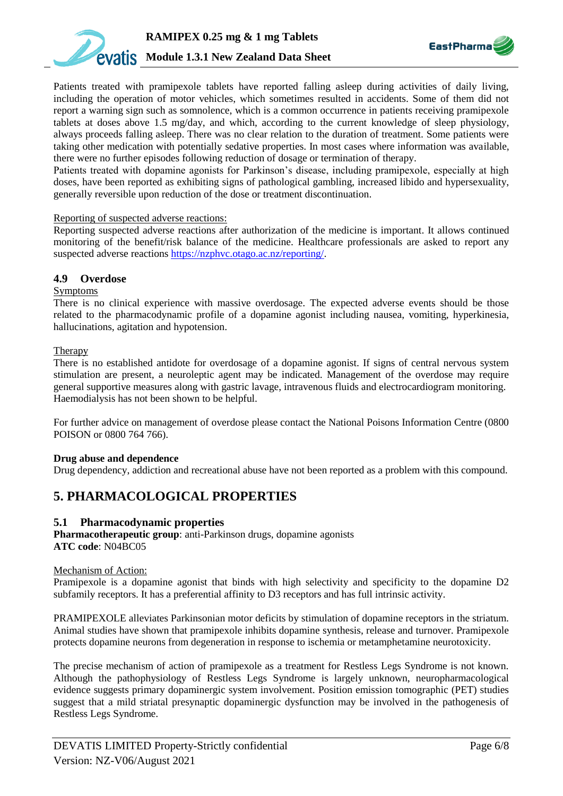



Patients treated with pramipexole tablets have reported falling asleep during activities of daily living, including the operation of motor vehicles, which sometimes resulted in accidents. Some of them did not report a warning sign such as somnolence, which is a common occurrence in patients receiving pramipexole tablets at doses above 1.5 mg/day, and which, according to the current knowledge of sleep physiology, always proceeds falling asleep. There was no clear relation to the duration of treatment. Some patients were taking other medication with potentially sedative properties. In most cases where information was available, there were no further episodes following reduction of dosage or termination of therapy.

Patients treated with dopamine agonists for Parkinson's disease, including pramipexole, especially at high doses, have been reported as exhibiting signs of pathological gambling, increased libido and hypersexuality, generally reversible upon reduction of the dose or treatment discontinuation.

### Reporting of suspected adverse reactions:

Reporting suspected adverse reactions after authorization of the medicine is important. It allows continued monitoring of the benefit/risk balance of the medicine. Healthcare professionals are asked to report any suspected adverse reactions [https://nzphvc.otago.ac.nz/reporting/.](https://nzphvc.otago.ac.nz/reporting/)

## **4.9 Overdose**

### Symptoms

There is no clinical experience with massive overdosage. The expected adverse events should be those related to the pharmacodynamic profile of a dopamine agonist including nausea, vomiting, hyperkinesia, hallucinations, agitation and hypotension.

### **Therapy**

There is no established antidote for overdosage of a dopamine agonist. If signs of central nervous system stimulation are present, a neuroleptic agent may be indicated. Management of the overdose may require general supportive measures along with gastric lavage, intravenous fluids and electrocardiogram monitoring. Haemodialysis has not been shown to be helpful.

For further advice on management of overdose please contact the National Poisons Information Centre (0800 POISON or 0800 764 766).

#### **Drug abuse and dependence**

Drug dependency, addiction and recreational abuse have not been reported as a problem with this compound.

## **5. PHARMACOLOGICAL PROPERTIES**

## **5.1 Pharmacodynamic properties**

**Pharmacotherapeutic group**: anti-Parkinson drugs, dopamine agonists **ATC code**: N04BC05

#### Mechanism of Action:

Pramipexole is a dopamine agonist that binds with high selectivity and specificity to the dopamine D2 subfamily receptors. It has a preferential affinity to D3 receptors and has full intrinsic activity.

PRAMIPEXOLE alleviates Parkinsonian motor deficits by stimulation of dopamine receptors in the striatum. Animal studies have shown that pramipexole inhibits dopamine synthesis, release and turnover. Pramipexole protects dopamine neurons from degeneration in response to ischemia or metamphetamine neurotoxicity.

The precise mechanism of action of pramipexole as a treatment for Restless Legs Syndrome is not known. Although the pathophysiology of Restless Legs Syndrome is largely unknown, neuropharmacological evidence suggests primary dopaminergic system involvement. Position emission tomographic (PET) studies suggest that a mild striatal presynaptic dopaminergic dysfunction may be involved in the pathogenesis of Restless Legs Syndrome.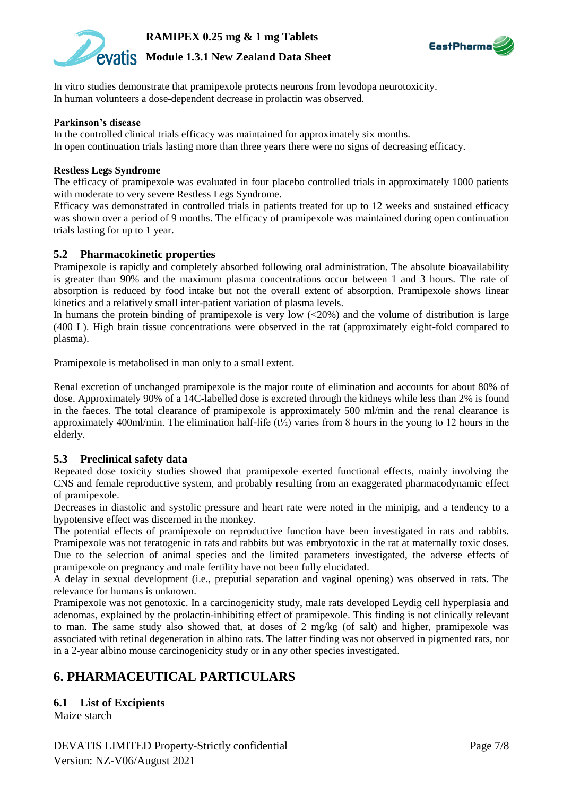



In vitro studies demonstrate that pramipexole protects neurons from levodopa neurotoxicity. In human volunteers a dose-dependent decrease in prolactin was observed.

#### **Parkinson's disease**

In the controlled clinical trials efficacy was maintained for approximately six months. In open continuation trials lasting more than three years there were no signs of decreasing efficacy.

#### **Restless Legs Syndrome**

The efficacy of pramipexole was evaluated in four placebo controlled trials in approximately 1000 patients with moderate to very severe Restless Legs Syndrome.

Efficacy was demonstrated in controlled trials in patients treated for up to 12 weeks and sustained efficacy was shown over a period of 9 months. The efficacy of pramipexole was maintained during open continuation trials lasting for up to 1 year.

## **5.2 Pharmacokinetic properties**

Pramipexole is rapidly and completely absorbed following oral administration. The absolute bioavailability is greater than 90% and the maximum plasma concentrations occur between 1 and 3 hours. The rate of absorption is reduced by food intake but not the overall extent of absorption. Pramipexole shows linear kinetics and a relatively small inter-patient variation of plasma levels.

In humans the protein binding of pramipexole is very low  $\langle$  ( $\langle$ 20%) and the volume of distribution is large (400 L). High brain tissue concentrations were observed in the rat (approximately eight-fold compared to plasma).

Pramipexole is metabolised in man only to a small extent.

Renal excretion of unchanged pramipexole is the major route of elimination and accounts for about 80% of dose. Approximately 90% of a 14C-labelled dose is excreted through the kidneys while less than 2% is found in the faeces. The total clearance of pramipexole is approximately 500 ml/min and the renal clearance is approximately 400ml/min. The elimination half-life  $(t\frac{1}{2})$  varies from 8 hours in the young to 12 hours in the elderly.

## **5.3 Preclinical safety data**

Repeated dose toxicity studies showed that pramipexole exerted functional effects, mainly involving the CNS and female reproductive system, and probably resulting from an exaggerated pharmacodynamic effect of pramipexole.

Decreases in diastolic and systolic pressure and heart rate were noted in the minipig, and a tendency to a hypotensive effect was discerned in the monkey.

The potential effects of pramipexole on reproductive function have been investigated in rats and rabbits. Pramipexole was not teratogenic in rats and rabbits but was embryotoxic in the rat at maternally toxic doses. Due to the selection of animal species and the limited parameters investigated, the adverse effects of pramipexole on pregnancy and male fertility have not been fully elucidated.

A delay in sexual development (i.e., preputial separation and vaginal opening) was observed in rats. The relevance for humans is unknown.

Pramipexole was not genotoxic. In a carcinogenicity study, male rats developed Leydig cell hyperplasia and adenomas, explained by the prolactin-inhibiting effect of pramipexole. This finding is not clinically relevant to man. The same study also showed that, at doses of 2 mg/kg (of salt) and higher, pramipexole was associated with retinal degeneration in albino rats. The latter finding was not observed in pigmented rats, nor in a 2-year albino mouse carcinogenicity study or in any other species investigated.

## **6. PHARMACEUTICAL PARTICULARS**

**6.1 List of Excipients**

Maize starch